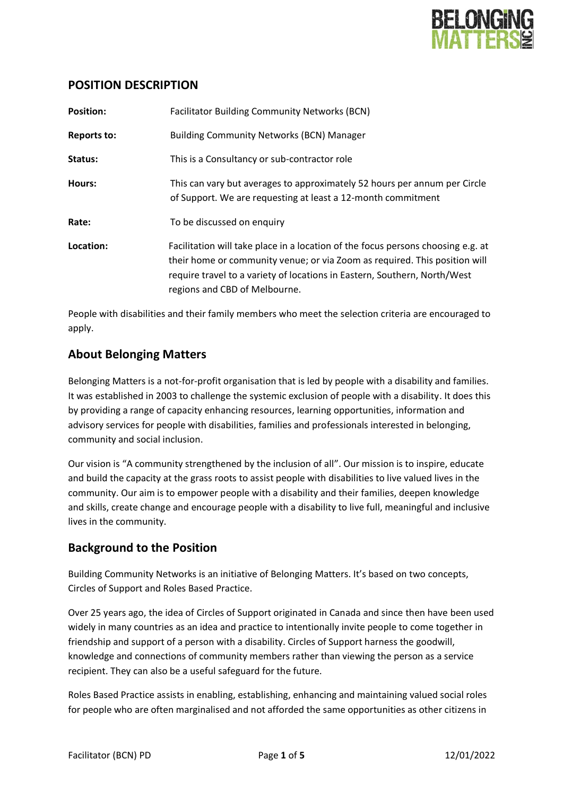

## **POSITION DESCRIPTION**

| <b>Position:</b>   | <b>Facilitator Building Community Networks (BCN)</b>                                                                                                                                                                                                                         |
|--------------------|------------------------------------------------------------------------------------------------------------------------------------------------------------------------------------------------------------------------------------------------------------------------------|
| <b>Reports to:</b> | <b>Building Community Networks (BCN) Manager</b>                                                                                                                                                                                                                             |
| Status:            | This is a Consultancy or sub-contractor role                                                                                                                                                                                                                                 |
| Hours:             | This can vary but averages to approximately 52 hours per annum per Circle<br>of Support. We are requesting at least a 12-month commitment                                                                                                                                    |
| Rate:              | To be discussed on enquiry                                                                                                                                                                                                                                                   |
| Location:          | Facilitation will take place in a location of the focus persons choosing e.g. at<br>their home or community venue; or via Zoom as required. This position will<br>require travel to a variety of locations in Eastern, Southern, North/West<br>regions and CBD of Melbourne. |

People with disabilities and their family members who meet the selection criteria are encouraged to apply.

## **About Belonging Matters**

Belonging Matters is a not-for-profit organisation that is led by people with a disability and families. It was established in 2003 to challenge the systemic exclusion of people with a disability. It does this by providing a range of capacity enhancing resources, learning opportunities, information and advisory services for people with disabilities, families and professionals interested in belonging, community and social inclusion.

Our vision is "A community strengthened by the inclusion of all". Our mission is to inspire, educate and build the capacity at the grass roots to assist people with disabilities to live valued lives in the community. Our aim is to empower people with a disability and their families, deepen knowledge and skills, create change and encourage people with a disability to live full, meaningful and inclusive lives in the community.

## **Background to the Position**

Building Community Networks is an initiative of Belonging Matters. It's based on two concepts, Circles of Support and Roles Based Practice.

Over 25 years ago, the idea of Circles of Support originated in Canada and since then have been used widely in many countries as an idea and practice to intentionally invite people to come together in friendship and support of a person with a disability. Circles of Support harness the goodwill, knowledge and connections of community members rather than viewing the person as a service recipient. They can also be a useful safeguard for the future.

Roles Based Practice assists in enabling, establishing, enhancing and maintaining valued social roles for people who are often marginalised and not afforded the same opportunities as other citizens in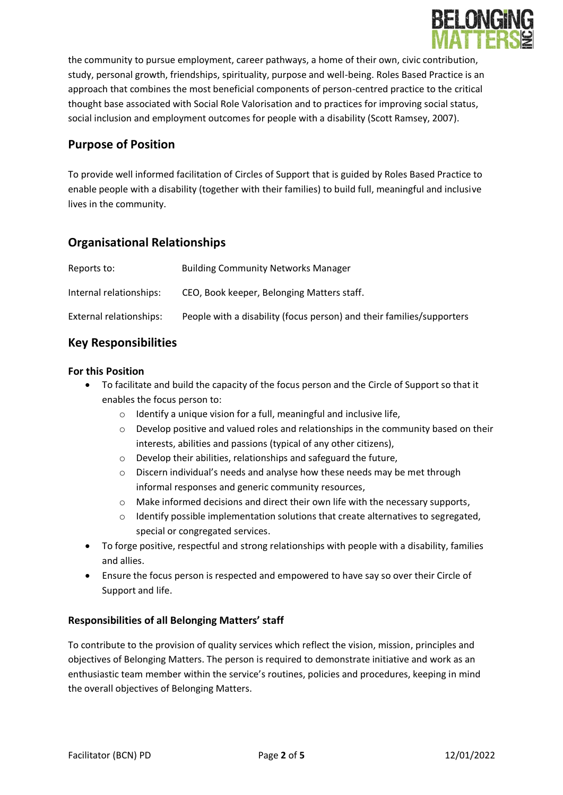

the community to pursue employment, career pathways, a home of their own, civic contribution, study, personal growth, friendships, spirituality, purpose and well-being. Roles Based Practice is an approach that combines the most beneficial components of person-centred practice to the critical thought base associated with Social Role Valorisation and to practices for improving social status, social inclusion and employment outcomes for people with a disability (Scott Ramsey, 2007).

# **Purpose of Position**

To provide well informed facilitation of Circles of Support that is guided by Roles Based Practice to enable people with a disability (together with their families) to build full, meaningful and inclusive lives in the community.

# **Organisational Relationships**

| Reports to:             | <b>Building Community Networks Manager</b>                            |
|-------------------------|-----------------------------------------------------------------------|
| Internal relationships: | CEO, Book keeper, Belonging Matters staff.                            |
| External relationships: | People with a disability (focus person) and their families/supporters |

## **Key Responsibilities**

### **For this Position**

- To facilitate and build the capacity of the focus person and the Circle of Support so that it enables the focus person to:
	- o Identify a unique vision for a full, meaningful and inclusive life,
	- $\circ$  Develop positive and valued roles and relationships in the community based on their interests, abilities and passions (typical of any other citizens),
	- o Develop their abilities, relationships and safeguard the future,
	- o Discern individual's needs and analyse how these needs may be met through informal responses and generic community resources,
	- o Make informed decisions and direct their own life with the necessary supports,
	- $\circ$  Identify possible implementation solutions that create alternatives to segregated, special or congregated services.
- To forge positive, respectful and strong relationships with people with a disability, families and allies.
- Ensure the focus person is respected and empowered to have say so over their Circle of Support and life.

### **Responsibilities of all Belonging Matters' staff**

To contribute to the provision of quality services which reflect the vision, mission, principles and objectives of Belonging Matters. The person is required to demonstrate initiative and work as an enthusiastic team member within the service's routines, policies and procedures, keeping in mind the overall objectives of Belonging Matters.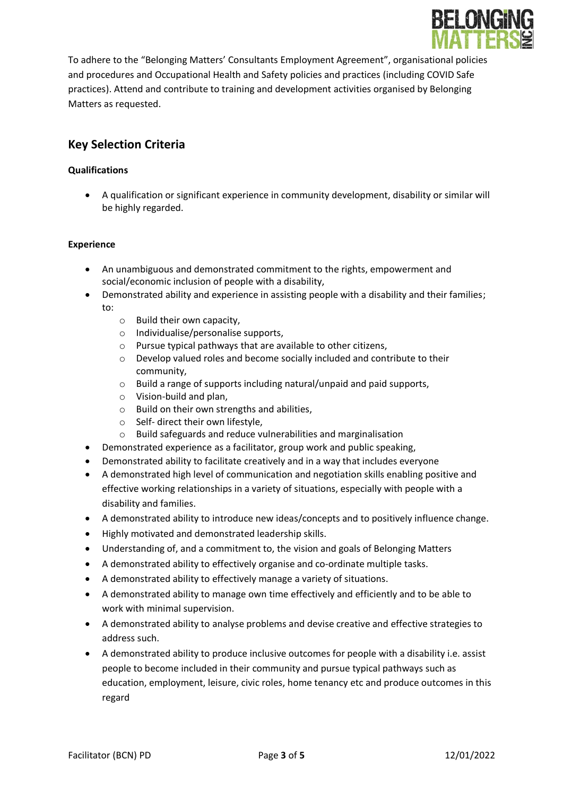

To adhere to the "Belonging Matters' Consultants Employment Agreement", organisational policies and procedures and Occupational Health and Safety policies and practices (including COVID Safe practices). Attend and contribute to training and development activities organised by Belonging Matters as requested.

# **Key Selection Criteria**

### **Qualifications**

• A qualification or significant experience in community development, disability or similar will be highly regarded.

### **Experience**

- An unambiguous and demonstrated commitment to the rights, empowerment and social/economic inclusion of people with a disability,
- Demonstrated ability and experience in assisting people with a disability and their families;
	- to:
		- o Build their own capacity,
		- o Individualise/personalise supports,
		- o Pursue typical pathways that are available to other citizens,
		- o Develop valued roles and become socially included and contribute to their community,
		- o Build a range of supports including natural/unpaid and paid supports,
		- o Vision-build and plan,
		- o Build on their own strengths and abilities,
		- o Self- direct their own lifestyle,
		- o Build safeguards and reduce vulnerabilities and marginalisation
- Demonstrated experience as a facilitator, group work and public speaking,
- Demonstrated ability to facilitate creatively and in a way that includes everyone
- A demonstrated high level of communication and negotiation skills enabling positive and effective working relationships in a variety of situations, especially with people with a disability and families.
- A demonstrated ability to introduce new ideas/concepts and to positively influence change.
- Highly motivated and demonstrated leadership skills.
- Understanding of, and a commitment to, the vision and goals of Belonging Matters
- A demonstrated ability to effectively organise and co-ordinate multiple tasks.
- A demonstrated ability to effectively manage a variety of situations.
- A demonstrated ability to manage own time effectively and efficiently and to be able to work with minimal supervision.
- A demonstrated ability to analyse problems and devise creative and effective strategies to address such.
- A demonstrated ability to produce inclusive outcomes for people with a disability i.e. assist people to become included in their community and pursue typical pathways such as education, employment, leisure, civic roles, home tenancy etc and produce outcomes in this regard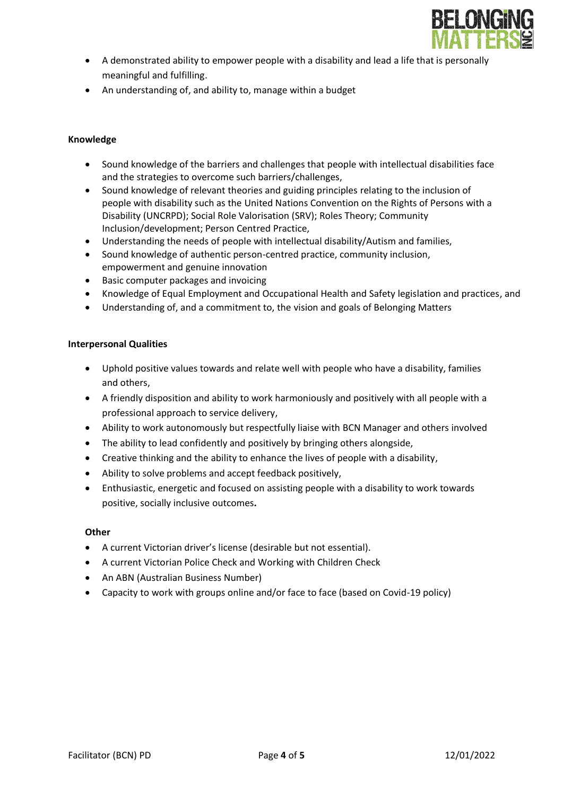

- A demonstrated ability to empower people with a disability and lead a life that is personally meaningful and fulfilling.
- An understanding of, and ability to, manage within a budget

### **Knowledge**

- Sound knowledge of the barriers and challenges that people with intellectual disabilities face and the strategies to overcome such barriers/challenges,
- Sound knowledge of relevant theories and guiding principles relating to the inclusion of people with disability such as the United Nations Convention on the Rights of Persons with a Disability (UNCRPD); Social Role Valorisation (SRV); Roles Theory; Community Inclusion/development; Person Centred Practice,
- Understanding the needs of people with intellectual disability/Autism and families,
- Sound knowledge of authentic person-centred practice, community inclusion, empowerment and genuine innovation
- Basic computer packages and invoicing
- Knowledge of Equal Employment and Occupational Health and Safety legislation and practices, and
- Understanding of, and a commitment to, the vision and goals of Belonging Matters

### **Interpersonal Qualities**

- Uphold positive values towards and relate well with people who have a disability, families and others,
- A friendly disposition and ability to work harmoniously and positively with all people with a professional approach to service delivery,
- Ability to work autonomously but respectfully liaise with BCN Manager and others involved
- The ability to lead confidently and positively by bringing others alongside,
- Creative thinking and the ability to enhance the lives of people with a disability,
- Ability to solve problems and accept feedback positively,
- Enthusiastic, energetic and focused on assisting people with a disability to work towards positive, socially inclusive outcomes**.**

#### **Other**

- A current Victorian driver's license (desirable but not essential).
- A current Victorian Police Check and Working with Children Check
- An ABN (Australian Business Number)
- Capacity to work with groups online and/or face to face (based on Covid-19 policy)